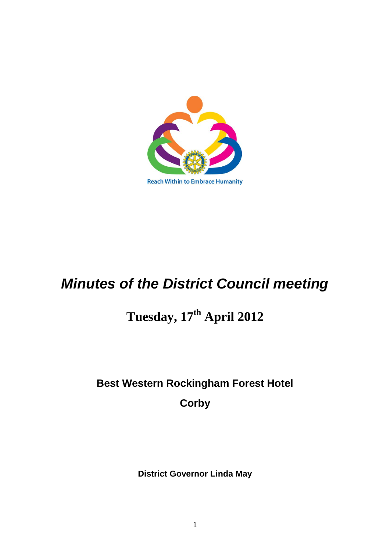

*Minutes of the District Council meeting*

# **Tuesday, 17th April 2012**

# **Best Western Rockingham Forest Hotel**

**Corby**

**District Governor Linda May**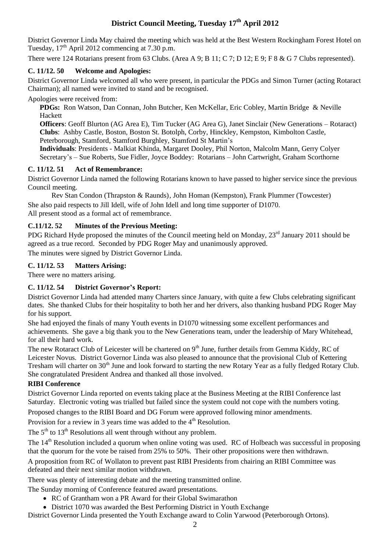# **District Council Meeting, Tuesday 17th April 2012**

District Governor Linda May chaired the meeting which was held at the Best Western Rockingham Forest Hotel on Tuesday,  $17<sup>th</sup>$  April 2012 commencing at 7.30 p.m.

There were 124 Rotarians present from 63 Clubs. (Area A 9; B 11; C 7; D 12; E 9; F 8 & G 7 Clubs represented).

# **C. 11/12. 50 Welcome and Apologies:**

District Governor Linda welcomed all who were present, in particular the PDGs and Simon Turner (acting Rotaract Chairman); all named were invited to stand and be recognised.

Apologies were received from:

**PDGs:** Ron Watson, Dan Connan, John Butcher, Ken McKellar, Eric Cobley, Martin Bridge & Neville Hackett

**Officers**: Geoff Blurton (AG Area E), Tim Tucker (AG Area G), Janet Sinclair (New Generations – Rotaract) **Clubs**: Ashby Castle, Boston, Boston St. Botolph, Corby, Hinckley, Kempston, Kimbolton Castle, Peterborough, Stamford, Stamford Burghley, Stamford St Martin's

**Individuals**: Presidents - Malkiat Khinda, Margaret Dooley, Phil Norton, Malcolm Mann, Gerry Colyer Secretary's – Sue Roberts, Sue Fidler, Joyce Boddey: Rotarians – John Cartwright, Graham Scorthorne

## **C. 11/12. 51 Act of Remembrance:**

District Governor Linda named the following Rotarians known to have passed to higher service since the previous Council meeting.

Rev Stan Condon (Thrapston & Raunds), John Homan (Kempston), Frank Plummer (Towcester) She also paid respects to Jill Idell, wife of John Idell and long time supporter of D1070. All present stood as a formal act of remembrance.

# **C.11/12. 52 Minutes of the Previous Meeting:**

PDG Richard Hyde proposed the minutes of the Council meeting held on Monday,  $23^{rd}$  January 2011 should be agreed as a true record. Seconded by PDG Roger May and unanimously approved.

The minutes were signed by District Governor Linda.

# **C. 11/12. 53 Matters Arising:**

There were no matters arising.

# **C. 11/12. 54 District Governor's Report:**

District Governor Linda had attended many Charters since January, with quite a few Clubs celebrating significant dates. She thanked Clubs for their hospitality to both her and her drivers, also thanking husband PDG Roger May for his support.

She had enjoyed the finals of many Youth events in D1070 witnessing some excellent performances and achievements. She gave a big thank you to the New Generations team, under the leadership of Mary Whitehead, for all their hard work.

The new Rotaract Club of Leicester will be chartered on  $9<sup>th</sup>$  June, further details from Gemma Kiddy, RC of Leicester Novus. District Governor Linda was also pleased to announce that the provisional Club of Kettering Tresham will charter on 30<sup>th</sup> June and look forward to starting the new Rotary Year as a fully fledged Rotary Club. She congratulated President Andrea and thanked all those involved.

#### **RIBI Conference**

District Governor Linda reported on events taking place at the Business Meeting at the RIBI Conference last Saturday. Electronic voting was trialled but failed since the system could not cope with the numbers voting.

Proposed changes to the RIBI Board and DG Forum were approved following minor amendments.

Provision for a review in 3 years time was added to the  $4<sup>th</sup>$  Resolution.

The  $5<sup>th</sup>$  to  $13<sup>th</sup>$  Resolutions all went through without any problem.

The  $14<sup>th</sup>$  Resolution included a quorum when online voting was used. RC of Holbeach was successful in proposing that the quorum for the vote be raised from 25% to 50%. Their other propositions were then withdrawn.

A proposition from RC of Wollaton to prevent past RIBI Presidents from chairing an RIBI Committee was defeated and their next similar motion withdrawn.

There was plenty of interesting debate and the meeting transmitted online.

The Sunday morning of Conference featured award presentations.

- RC of Grantham won a PR Award for their Global Swimarathon
- District 1070 was awarded the Best Performing District in Youth Exchange

District Governor Linda presented the Youth Exchange award to Colin Yarwood (Peterborough Ortons).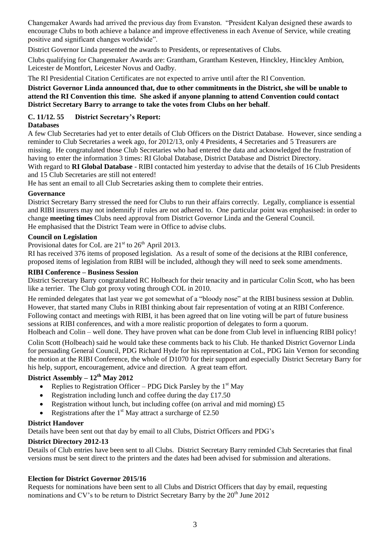Changemaker Awards had arrived the previous day from Evanston. "President Kalyan designed these awards to encourage Clubs to both achieve a balance and improve effectiveness in each Avenue of Service, while creating positive and significant changes worldwide".

District Governor Linda presented the awards to Presidents, or representatives of Clubs.

Clubs qualifying for Changemaker Awards are: Grantham, Grantham Kesteven, Hinckley, Hinckley Ambion, Leicester de Montfort, Leicester Novus and Oadby.

The RI Presidential Citation Certificates are not expected to arrive until after the RI Convention.

#### **District Governor Linda announced that, due to other commitments in the District, she will be unable to attend the RI Convention this time. She asked if anyone planning to attend Convention could contact District Secretary Barry to arrange to take the votes from Clubs on her behalf**.

# **C. 11/12. 55 District Secretary's Report:**

#### **Databases**

A few Club Secretaries had yet to enter details of Club Officers on the District Database. However, since sending a reminder to Club Secretaries a week ago, for 2012/13, only 4 Presidents, 4 Secretaries and 5 Treasurers are missing. He congratulated those Club Secretaries who had entered the data and acknowledged the frustration of having to enter the information 3 times: RI Global Database, District Database and District Directory. With regard to **RI Global Database** - RIBI contacted him yesterday to advise that the details of 16 Club Presidents and 15 Club Secretaries are still not entered!

He has sent an email to all Club Secretaries asking them to complete their entries.

#### **Governance**

District Secretary Barry stressed the need for Clubs to run their affairs correctly. Legally, compliance is essential and RIBI insurers may not indemnify if rules are not adhered to. One particular point was emphasised: in order to change **meeting times** Clubs need approval from District Governor Linda and the General Council. He emphasised that the District Team were in Office to advise clubs.

#### **Council on Legislation**

Provisional dates for CoL are  $21<sup>st</sup>$  to  $26<sup>th</sup>$  April 2013.

RI has received 376 items of proposed legislation. As a result of some of the decisions at the RIBI conference, proposed items of legislation from RIBI will be included, although they will need to seek some amendments.

#### **RIBI Conference – Business Session**

District Secretary Barry congratulated RC Holbeach for their tenacity and in particular Colin Scott, who has been like a terrier. The Club got proxy voting through COL in 2010.

He reminded delegates that last year we got somewhat of a "bloody nose" at the RIBI business session at Dublin. However, that started many Clubs in RIBI thinking about fair representation of voting at an RIBI Conference. Following contact and meetings with RIBI, it has been agreed that on line voting will be part of future business sessions at RIBI conferences, and with a more realistic proportion of delegates to form a quorum.

Holbeach and Colin – well done. They have proven what can be done from Club level in influencing RIBI policy!

Colin Scott (Holbeach) said he would take these comments back to his Club. He thanked District Governor Linda for persuading General Council, PDG Richard Hyde for his representation at CoL, PDG Iain Vernon for seconding the motion at the RIBI Conference, the whole of D1070 for their support and especially District Secretary Barry for his help, support, encouragement, advice and direction. A great team effort.

# **District Assembly – 12th May 2012**

- Replies to Registration Officer PDG Dick Parsley by the  $1<sup>st</sup>$  May
- Registration including lunch and coffee during the day £17.50
- Registration without lunch, but including coffee (on arrival and mid morning) £5
- Registrations after the  $1<sup>st</sup>$  May attract a surcharge of £2.50

#### **District Handover**

Details have been sent out that day by email to all Clubs, District Officers and PDG's

#### **District Directory 2012-13**

Details of Club entries have been sent to all Clubs. District Secretary Barry reminded Club Secretaries that final versions must be sent direct to the printers and the dates had been advised for submission and alterations.

#### **Election for District Governor 2015/16**

Requests for nominations have been sent to all Clubs and District Officers that day by email, requesting nominations and CV's to be return to District Secretary Barry by the  $20^{th}$  June 2012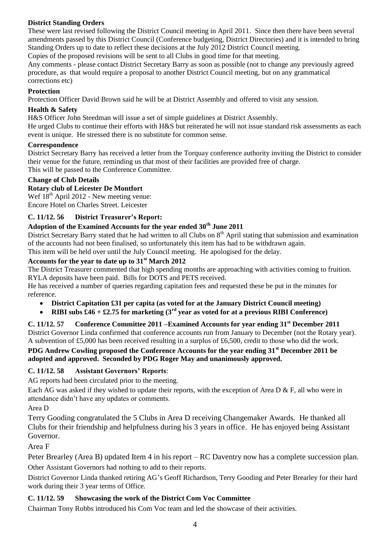# **District Standing Orders**

These were last revised following the District Council meeting in April 2011. Since then there have been several amendments passed by this District Council (Conference budgeting, District Directories) and it is intended to bring Standing Orders up to date to reflect these decisions at the July 2012 District Council meeting.

Copies of the proposed revisions will be sent to all Clubs in good time for that meeting.

Any comments - please contact District Secretary Barry as soon as possible (not to change any previously agreed procedure, as that would require a proposal to another District Council meeting, but on any grammatical corrections etc)

#### **Protection**

Protection Officer David Brown said he will be at District Assembly and offered to visit any session.

#### **Health & Safety**

H&S Officer John Steedman will issue a set of simple guidelines at District Assembly.

He urged Clubs to continue their efforts with H&S but reiterated he will not issue standard risk assessments as each event is unique. He stressed there is no substitute for common sense.

#### **Correspondence**

District Secretary Barry has received a letter from the Torquay conference authority inviting the District to consider their venue for the future, reminding us that most of their facilities are provided free of charge. This will be passed to the Conference Committee.

#### **Change of Club Details**

#### **Rotary club of Leicester De Montfort**

Wef  $18<sup>th</sup>$  April 2012 - New meeting venue: Encore Hotel on Charles Street. Leicester

#### **C. 11/12. 56 District Treasurer's Report:**

# **Adoption of the Examined Accounts for the year ended 30th June 2011**

District Secretary Barry stated that he had written to all Clubs on  $8<sup>th</sup>$  April stating that submission and examination of the accounts had not been finalised, so unfortunately this item has had to be withdrawn again.

This item will be held over until the July Council meeting. He apologised for the delay.

# **Accounts for the year to date up to 31st March 2012**

The District Treasurer commented that high spending months are approaching with activities coming to fruition. RYLA deposits have been paid. Bills for DOTS and PETS received.

He has received a number of queries regarding capitation fees and requested these be put in the minutes for reference.

- **District Capitation £31 per capita (as voted for at the January District Council meeting)**
- **RIBI subs £46 + £2.75 for marketing (3rd year as voted for at a previous RIBI Conference)**

**C. 11/12. 57 Conference Committee 2011 –Examined Accounts for year ending 31st December 2011** District Governor Linda confirmed that conference accounts run from January to December (not the Rotary year). A subvention of £5,000 has been received resulting in a surplus of £6,500, credit to those who did the work.

## **PDG Andrew Cowling proposed the Conference Accounts for the year ending 31st December 2011 be adopted and approved. Seconded by PDG Roger May and unanimously approved.**

#### **C. 11/12. 58 Assistant Governors' Reports**:

AG reports had been circulated prior to the meeting.

Each AG was asked if they wished to update their reports, with the exception of Area D & F, all who were in attendance didn't have any updates or comments.

Area D

Terry Gooding congratulated the 5 Clubs in Area D receiving Changemaker Awards. He thanked all Clubs for their friendship and helpfulness during his 3 years in office. He has enjoyed being Assistant Governor.

Area F

Peter Brearley (Area B) updated Item 4 in his report – RC Daventry now has a complete succession plan. Other Assistant Governors had nothing to add to their reports.

District Governor Linda thanked retiring AG's Geoff Richardson, Terry Gooding and Peter Brearley for their hard work during their 3 year terms of Office.

#### **C. 11/12. 59 Showcasing the work of the District Com Voc Committee**

Chairman Tony Robbs introduced his Com Voc team and led the showcase of their activities.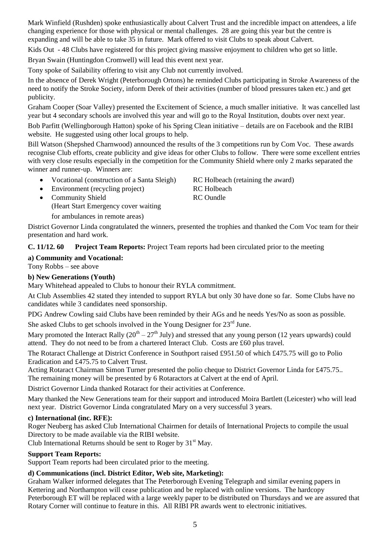Mark Winfield (Rushden) spoke enthusiastically about Calvert Trust and the incredible impact on attendees, a life changing experience for those with physical or mental challenges. 28 are going this year but the centre is expanding and will be able to take 35 in future. Mark offered to visit Clubs to speak about Calvert.

Kids Out - 48 Clubs have registered for this project giving massive enjoyment to children who get so little.

Bryan Swain (Huntingdon Cromwell) will lead this event next year.

Tony spoke of Sailability offering to visit any Club not currently involved.

In the absence of Derek Wright (Peterborough Ortons) he reminded Clubs participating in Stroke Awareness of the need to notify the Stroke Society, inform Derek of their activities (number of blood pressures taken etc.) and get publicity.

Graham Cooper (Soar Valley) presented the Excitement of Science, a much smaller initiative. It was cancelled last year but 4 secondary schools are involved this year and will go to the Royal Institution, doubts over next year.

Bob Parfitt (Wellingborough Hatton) spoke of his Spring Clean initiative – details are on Facebook and the RIBI website. He suggested using other local groups to help.

Bill Watson (Shepshed Charnwood) announced the results of the 3 competitions run by Com Voc. These awards recognise Club efforts, create publicity and give ideas for other Clubs to follow. There were some excellent entries with very close results especially in the competition for the Community Shield where only 2 marks separated the winner and runner-up. Winners are:

- Vocational (construction of a Santa Sleigh) RC Holbeach (retaining the award)
- Environment (recycling project) RC Holbeach
- Community Shield RC Oundle (Heart Start Emergency cover waiting for ambulances in remote areas)

District Governor Linda congratulated the winners, presented the trophies and thanked the Com Voc team for their presentation and hard work.

**C. 11/12. 60 Project Team Reports:** Project Team reports had been circulated prior to the meeting

#### **a) Community and Vocational:**

Tony Robbs – see above

#### **b) New Generations (Youth)**

Mary Whitehead appealed to Clubs to honour their RYLA commitment.

At Club Assemblies 42 stated they intended to support RYLA but only 30 have done so far. Some Clubs have no candidates while 3 candidates need sponsorship.

PDG Andrew Cowling said Clubs have been reminded by their AGs and he needs Yes/No as soon as possible.

She asked Clubs to get schools involved in the Young Designer for  $23<sup>rd</sup>$  June.

Mary promoted the Interact Rally  $(20<sup>th</sup> – 27<sup>th</sup>$  July) and stressed that any young person (12 years upwards) could attend. They do not need to be from a chartered Interact Club. Costs are £60 plus travel.

The Rotaract Challenge at District Conference in Southport raised £951.50 of which £475.75 will go to Polio Eradication and £475.75 to Calvert Trust.

Acting Rotaract Chairman Simon Turner presented the polio cheque to District Governor Linda for £475.75.. The remaining money will be presented by 6 Rotaractors at Calvert at the end of April.

District Governor Linda thanked Rotaract for their activities at Conference.

Mary thanked the New Generations team for their support and introduced Moira Bartlett (Leicester) who will lead next year. District Governor Linda congratulated Mary on a very successful 3 years.

#### **c) International (inc. RFE):**

Roger Neuberg has asked Club International Chairmen for details of International Projects to compile the usual Directory to be made available via the RIBI website.

Club International Returns should be sent to Roger by  $31<sup>st</sup>$  May.

## **Support Team Reports:**

Support Team reports had been circulated prior to the meeting.

#### **d) Communications (incl. District Editor, Web site, Marketing):**

Graham Walker informed delegates that The Peterborough Evening Telegraph and similar evening papers in Kettering and Northampton will cease publication and be replaced with online versions. The hardcopy Peterborough ET will be replaced with a large weekly paper to be distributed on Thursdays and we are assured that Rotary Corner will continue to feature in this. All RIBI PR awards went to electronic initiatives.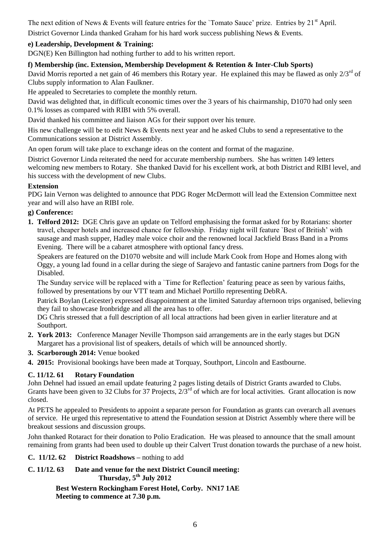The next edition of News & Events will feature entries for the 'Tomato Sauce' prize. Entries by 21<sup>st</sup> April. District Governor Linda thanked Graham for his hard work success publishing News & Events.

#### **e) Leadership, Development & Training:**

DGN(E) Ken Billington had nothing further to add to his written report.

#### **f) Membership (inc. Extension, Membership Development & Retention & Inter-Club Sports)**

David Morris reported a net gain of 46 members this Rotary year. He explained this may be flawed as only 2/3<sup>rd</sup> of Clubs supply information to Alan Faulkner.

He appealed to Secretaries to complete the monthly return.

David was delighted that, in difficult economic times over the 3 years of his chairmanship, D1070 had only seen 0.1% losses as compared with RIBI with 5% overall.

David thanked his committee and liaison AGs for their support over his tenure.

His new challenge will be to edit News & Events next year and he asked Clubs to send a representative to the Communications session at District Assembly.

An open forum will take place to exchange ideas on the content and format of the magazine.

District Governor Linda reiterated the need for accurate membership numbers. She has written 149 letters welcoming new members to Rotary. She thanked David for his excellent work, at both District and RIBI level, and his success with the development of new Clubs.

#### **Extension**

PDG Iain Vernon was delighted to announce that PDG Roger McDermott will lead the Extension Committee next year and will also have an RIBI role.

#### **g) Conference:**

**1. Telford 2012:** DGE Chris gave an update on Telford emphasising the format asked for by Rotarians: shorter travel, cheaper hotels and increased chance for fellowship. Friday night will feature `Best of British' with sausage and mash supper, Hadley male voice choir and the renowned local Jackfield Brass Band in a Proms Evening. There will be a cabaret atmosphere with optional fancy dress.

Speakers are featured on the D1070 website and will include Mark Cook from Hope and Homes along with Oggy, a young lad found in a cellar during the siege of Sarajevo and fantastic canine partners from Dogs for the Disabled.

The Sunday service will be replaced with a `Time for Reflection' featuring peace as seen by various faiths, followed by presentations by our VTT team and Michael Portillo representing DebRA.

Patrick Boylan (Leicester) expressed disappointment at the limited Saturday afternoon trips organised, believing they fail to showcase Ironbridge and all the area has to offer.

DG Chris stressed that a full description of all local attractions had been given in earlier literature and at Southport.

- **2. York 2013:** Conference Manager Neville Thompson said arrangements are in the early stages but DGN Margaret has a provisional list of speakers, details of which will be announced shortly.
- **3. Scarborough 2014:** Venue booked
- **4. 2015:** Provisional bookings have been made at Torquay, Southport, Lincoln and Eastbourne.

#### **C. 11/12. 61 Rotary Foundation**

John Dehnel had issued an email update featuring 2 pages listing details of District Grants awarded to Clubs. Grants have been given to 32 Clubs for 37 Projects,  $2/3^{rd}$  of which are for local activities. Grant allocation is now closed.

At PETS he appealed to Presidents to appoint a separate person for Foundation as grants can overarch all avenues of service. He urged this representative to attend the Foundation session at District Assembly where there will be breakout sessions and discussion groups.

John thanked Rotaract for their donation to Polio Eradication. He was pleased to announce that the small amount remaining from grants had been used to double up their Calvert Trust donation towards the purchase of a new hoist.

**C. 11/12. 62 District Roadshows –** nothing to add

#### **C. 11/12. 63 Date and venue for the next District Council meeting: Thursday, 5 th July 2012**

**Best Western Rockingham Forest Hotel, Corby. NN17 1AE Meeting to commence at 7.30 p.m.**